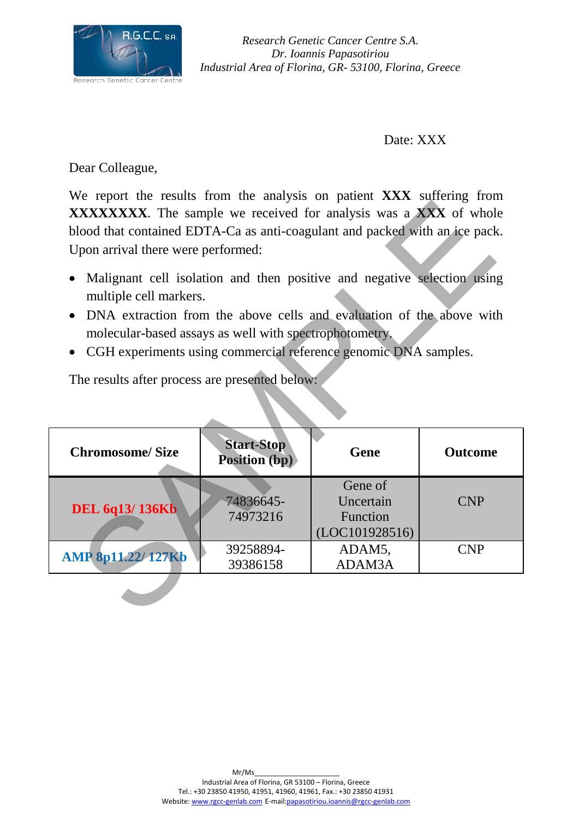

*Research Genetic Cancer Centre S.A. Dr. Ioannis Papasotiriou Industrial Area of Florina, GR- 53100, Florina, Greece* 

Date: XXX

Dear Colleague,

We report the results from the analysis on patient **XXX** suffering from **XXXXXXXX**. The sample we received for analysis was a **XXX** of whole blood that contained EDTA-Ca as anti-coagulant and packed with an ice pack. Upon arrival there were performed:

- Malignant cell isolation and then positive and negative selection using multiple cell markers.
- DNA extraction from the above cells and evaluation of the above with molecular-based assays as well with spectrophotometry.
- CGH experiments using commercial reference genomic DNA samples.

| <b>XXXXXXXXX</b> . The sample we received for analysis was a <b>XXX</b> of whole<br>blood that contained EDTA-Ca as anti-coagulant and packed with an ice pack.<br>Upon arrival there were performed:                                                                                                                                                                 |                                    |                                         |                |
|-----------------------------------------------------------------------------------------------------------------------------------------------------------------------------------------------------------------------------------------------------------------------------------------------------------------------------------------------------------------------|------------------------------------|-----------------------------------------|----------------|
| Malignant cell isolation and then positive and negative selection using<br>multiple cell markers.<br>DNA extraction from the above cells and evaluation of the above with<br>$\bullet$<br>molecular-based assays as well with spectrophotometry.<br>CGH experiments using commercial reference genomic DNA samples.<br>The results after process are presented below: |                                    |                                         |                |
|                                                                                                                                                                                                                                                                                                                                                                       |                                    |                                         |                |
| <b>Chromosome/Size</b>                                                                                                                                                                                                                                                                                                                                                | <b>Start-Stop</b><br>Position (bp) | Gene                                    | <b>Outcome</b> |
|                                                                                                                                                                                                                                                                                                                                                                       |                                    | Gene of                                 |                |
| <b>DEL 6q13/136Kb</b>                                                                                                                                                                                                                                                                                                                                                 | 74836645-<br>74973216              | Uncertain<br>Function<br>(LOC101928516) | <b>CNP</b>     |
| <b>AMP 8p11.22/127Kb</b>                                                                                                                                                                                                                                                                                                                                              | 39258894-<br>39386158              | ADAM5,<br>ADAM3A                        | <b>CNP</b>     |